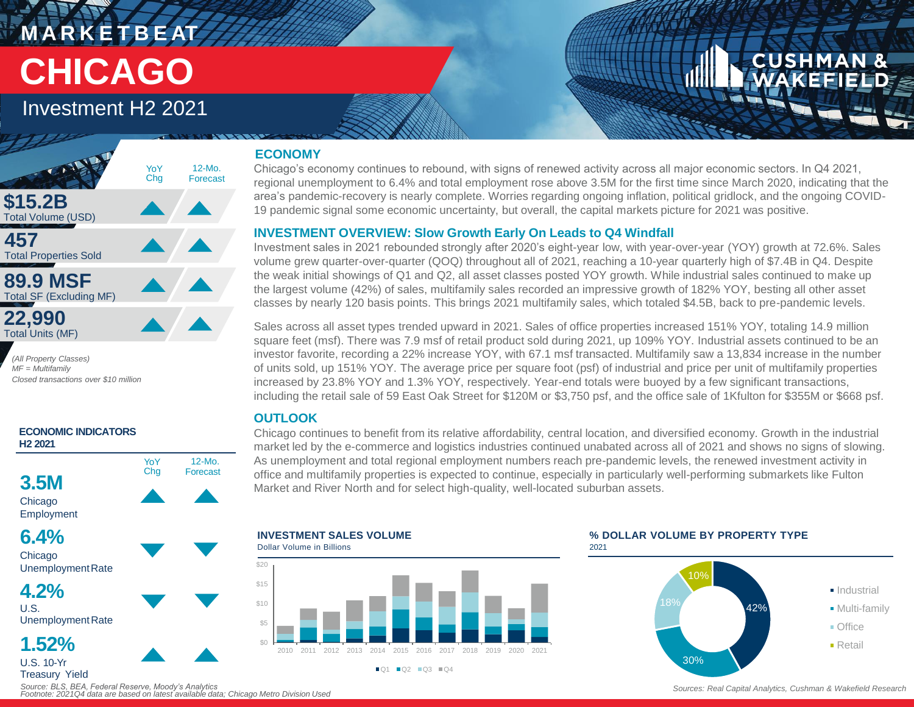# **M A R K E T B E AT CHICAGO**

## Investment H2 2021



*(All Property Classes) MF = Multifamily Closed transactions over \$10 million*



#### *Source: BLS, BEA, Federal Reserve, Moody's Analytics Footnote: 2021Q4 data are based on latest available data; Chicago Metro Division Used*

#### **ECONOMY**

Chicago's economy continues to rebound, with signs of renewed activity across all major economic sectors. In Q4 2021, regional unemployment to 6.4% and total employment rose above 3.5M for the first time since March 2020, indicating that the area's pandemic-recovery is nearly complete. Worries regarding ongoing inflation, political gridlock, and the ongoing COVID-19 pandemic signal some economic uncertainty, but overall, the capital markets picture for 2021 was positive.

#### **INVESTMENT OVERVIEW: Slow Growth Early On Leads to Q4 Windfall**

Investment sales in 2021 rebounded strongly after 2020's eight-year low, with year-over-year (YOY) growth at 72.6%. Sales volume grew quarter-over-quarter (QOQ) throughout all of 2021, reaching a 10-year quarterly high of \$7.4B in Q4. Despite the weak initial showings of Q1 and Q2, all asset classes posted YOY growth. While industrial sales continued to make up the largest volume (42%) of sales, multifamily sales recorded an impressive growth of 182% YOY, besting all other asset classes by nearly 120 basis points. This brings 2021 multifamily sales, which totaled \$4.5B, back to pre-pandemic levels.

Sales across all asset types trended upward in 2021. Sales of office properties increased 151% YOY, totaling 14.9 million square feet (msf). There was 7.9 msf of retail product sold during 2021, up 109% YOY. Industrial assets continued to be an investor favorite, recording a 22% increase YOY, with 67.1 msf transacted. Multifamily saw a 13,834 increase in the number of units sold, up 151% YOY. The average price per square foot (psf) of industrial and price per unit of multifamily properties increased by 23.8% YOY and 1.3% YOY, respectively. Year-end totals were buoyed by a few significant transactions, including the retail sale of 59 East Oak Street for \$120M or \$3,750 psf, and the office sale of 1Kfulton for \$355M or \$668 psf.

### **OUTLOOK**

Chicago continues to benefit from its relative affordability, central location, and diversified economy. Growth in the industrial market led by the e-commerce and logistics industries continued unabated across all of 2021 and shows no signs of slowing. As unemployment and total regional employment numbers reach pre-pandemic levels, the renewed investment activity in office and multifamily properties is expected to continue, especially in particularly well-performing submarkets like Fulton Market and River North and for select high-quality, well-located suburban assets.

**INVESTMENT SALES VOLUME** Dollar Volume in Billions \$5 \$10 \$15 \$20

2010 2011 2012 2013 2014 2015 2016 2017 2018 2019 2020 2021  $\blacksquare$  Q1  $\blacksquare$  Q2  $\blacksquare$  Q3  $\blacksquare$  Q4

#### **% DOLLAR VOLUME BY PROPERTY TYPE**  2021



*Sources: Real Capital Analytics, Cushman & Wakefield Research*